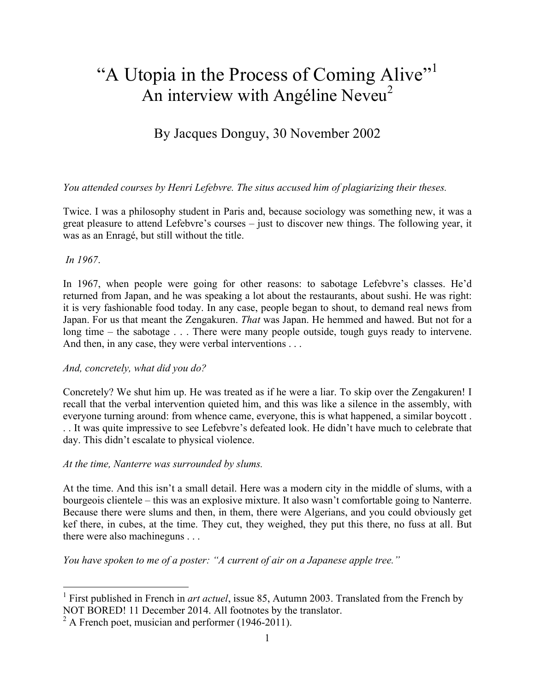# "A Utopia in the Process of Coming Alive"<sup>1</sup> An interview with Angéline Neveu<sup>2</sup>

# By Jacques Donguy, 30 November 2002

# *You attended courses by Henri Lefebvre. The situs accused him of plagiarizing their theses.*

Twice. I was a philosophy student in Paris and, because sociology was something new, it was a great pleasure to attend Lefebvre's courses – just to discover new things. The following year, it was as an Enragé, but still without the title.

# *In 1967*.

In 1967, when people were going for other reasons: to sabotage Lefebvre's classes. He'd returned from Japan, and he was speaking a lot about the restaurants, about sushi. He was right: it is very fashionable food today. In any case, people began to shout, to demand real news from Japan. For us that meant the Zengakuren. *That* was Japan. He hemmed and hawed. But not for a long time – the sabotage . . . There were many people outside, tough guys ready to intervene. And then, in any case, they were verbal interventions . . .

# *And, concretely, what did you do?*

Concretely? We shut him up. He was treated as if he were a liar. To skip over the Zengakuren! I recall that the verbal intervention quieted him, and this was like a silence in the assembly, with everyone turning around: from whence came, everyone, this is what happened, a similar boycott . . . It was quite impressive to see Lefebvre's defeated look. He didn't have much to celebrate that day. This didn't escalate to physical violence.

# *At the time, Nanterre was surrounded by slums.*

At the time. And this isn't a small detail. Here was a modern city in the middle of slums, with a bourgeois clientele – this was an explosive mixture. It also wasn't comfortable going to Nanterre. Because there were slums and then, in them, there were Algerians, and you could obviously get kef there, in cubes, at the time. They cut, they weighed, they put this there, no fuss at all. But there were also machineguns . . .

*You have spoken to me of a poster: "A current of air on a Japanese apple tree."*

 <sup>1</sup> First published in French in *art actuel*, issue 85, Autumn 2003. Translated from the French by NOT BORED! 11 December 2014. All footnotes by the translator.

 $2$  A French poet, musician and performer (1946-2011).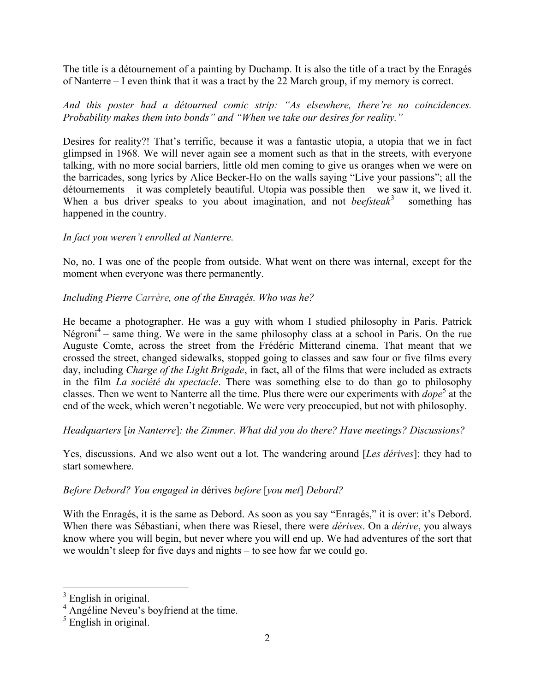The title is a détournement of a painting by Duchamp. It is also the title of a tract by the Enragés of Nanterre – I even think that it was a tract by the 22 March group, if my memory is correct.

*And this poster had a détourned comic strip: "As elsewhere, there're no coincidences. Probability makes them into bonds" and "When we take our desires for reality."*

Desires for reality?! That's terrific, because it was a fantastic utopia, a utopia that we in fact glimpsed in 1968. We will never again see a moment such as that in the streets, with everyone talking, with no more social barriers, little old men coming to give us oranges when we were on the barricades, song lyrics by Alice Becker-Ho on the walls saying "Live your passions"; all the détournements – it was completely beautiful. Utopia was possible then – we saw it, we lived it. When a bus driver speaks to you about imagination, and not *beefsteak*<sup>3</sup> – something has happened in the country.

#### *In fact you weren't enrolled at Nanterre.*

No, no. I was one of the people from outside. What went on there was internal, except for the moment when everyone was there permanently.

#### *Including Pierre Carrère, one of the Enragés. Who was he?*

He became a photographer. He was a guy with whom I studied philosophy in Paris. Patrick  $N'$ égroni<sup>4</sup> – same thing. We were in the same philosophy class at a school in Paris. On the rue Auguste Comte, across the street from the Frédéric Mitterand cinema. That meant that we crossed the street, changed sidewalks, stopped going to classes and saw four or five films every day, including *Charge of the Light Brigade*, in fact, all of the films that were included as extracts in the film *La société du spectacle*. There was something else to do than go to philosophy classes. Then we went to Nanterre all the time. Plus there were our experiments with *dope*<sup>5</sup> at the end of the week, which weren't negotiable. We were very preoccupied, but not with philosophy.

*Headquarters* [*in Nanterre*]*: the Zimmer. What did you do there? Have meetings? Discussions?*

Yes, discussions. And we also went out a lot. The wandering around [*Les dérives*]: they had to start somewhere.

# *Before Debord? You engaged in* dérives *before* [*you met*] *Debord?*

With the Enragés, it is the same as Debord. As soon as you say "Enragés," it is over: it's Debord. When there was Sébastiani, when there was Riesel, there were *dérives*. On a *dérive*, you always know where you will begin, but never where you will end up. We had adventures of the sort that we wouldn't sleep for five days and nights – to see how far we could go.

 $3$  English in original.

<sup>&</sup>lt;sup>4</sup> Angéline Neveu's boyfriend at the time.

<sup>&</sup>lt;sup>5</sup> English in original.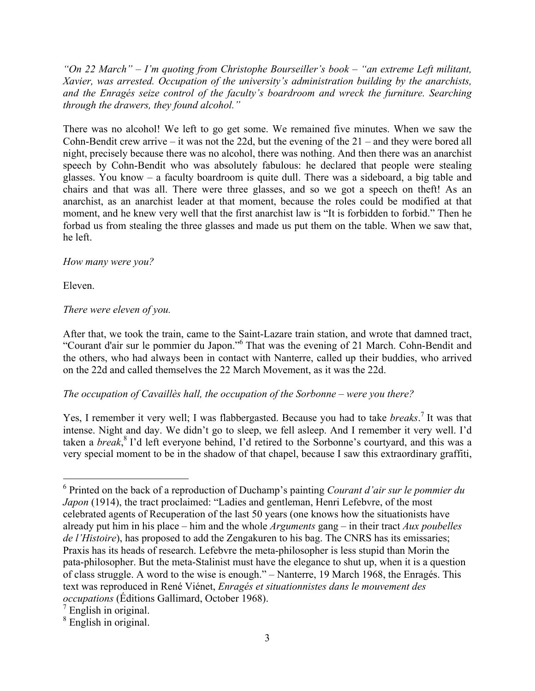*"On 22 March" – I'm quoting from Christophe Bourseiller's book – "an extreme Left militant, Xavier, was arrested. Occupation of the university's administration building by the anarchists, and the Enragés seize control of the faculty's boardroom and wreck the furniture. Searching through the drawers, they found alcohol."*

There was no alcohol! We left to go get some. We remained five minutes. When we saw the Cohn-Bendit crew arrive – it was not the 22d, but the evening of the 21 – and they were bored all night, precisely because there was no alcohol, there was nothing. And then there was an anarchist speech by Cohn-Bendit who was absolutely fabulous: he declared that people were stealing glasses. You know – a faculty boardroom is quite dull. There was a sideboard, a big table and chairs and that was all. There were three glasses, and so we got a speech on theft! As an anarchist, as an anarchist leader at that moment, because the roles could be modified at that moment, and he knew very well that the first anarchist law is "It is forbidden to forbid." Then he forbad us from stealing the three glasses and made us put them on the table. When we saw that, he left.

# *How many were you?*

Eleven.

# *There were eleven of you.*

After that, we took the train, came to the Saint-Lazare train station, and wrote that damned tract, "Courant d'air sur le pommier du Japon."6 That was the evening of 21 March. Cohn-Bendit and the others, who had always been in contact with Nanterre, called up their buddies, who arrived on the 22d and called themselves the 22 March Movement, as it was the 22d.

#### *The occupation of Cavaillès hall, the occupation of the Sorbonne – were you there?*

Yes, I remember it very well; I was flabbergasted. Because you had to take *breaks*.<sup>7</sup> It was that intense. Night and day. We didn't go to sleep, we fell asleep. And I remember it very well. I'd taken a *break*, 8 I'd left everyone behind, I'd retired to the Sorbonne's courtyard, and this was a very special moment to be in the shadow of that chapel, because I saw this extraordinary graffiti,

 <sup>6</sup> Printed on the back of a reproduction of Duchamp's painting *Courant d'air sur le pommier du Japon* (1914), the tract proclaimed: "Ladies and gentleman, Henri Lefebvre, of the most celebrated agents of Recuperation of the last 50 years (one knows how the situationists have already put him in his place – him and the whole *Arguments* gang – in their tract *Aux poubelles de l'Histoire*), has proposed to add the Zengakuren to his bag. The CNRS has its emissaries; Praxis has its heads of research. Lefebvre the meta-philosopher is less stupid than Morin the pata-philosopher. But the meta-Stalinist must have the elegance to shut up, when it is a question of class struggle. A word to the wise is enough." – Nanterre, 19 March 1968, the Enragés. This text was reproduced in René Viénet, *Enragés et situationnistes dans le mouvement des occupations* (Éditions Gallimard, October 1968).

 $7$  English in original.

<sup>8</sup> English in original.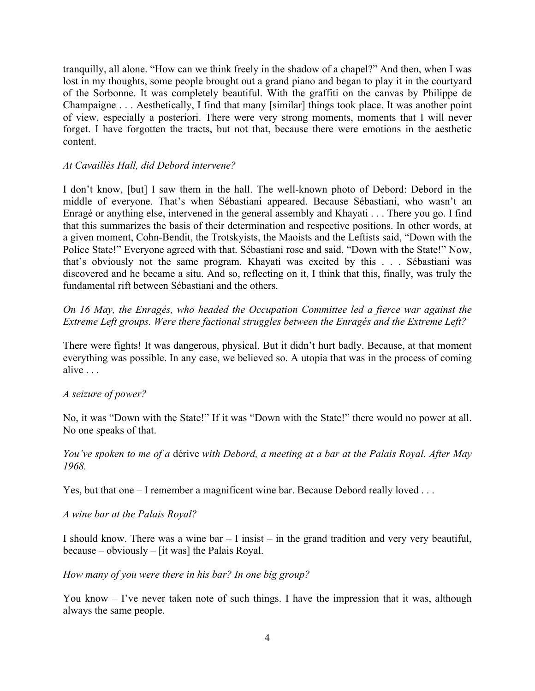tranquilly, all alone. "How can we think freely in the shadow of a chapel?" And then, when I was lost in my thoughts, some people brought out a grand piano and began to play it in the courtyard of the Sorbonne. It was completely beautiful. With the graffiti on the canvas by Philippe de Champaigne . . . Aesthetically, I find that many [similar] things took place. It was another point of view, especially a posteriori. There were very strong moments, moments that I will never forget. I have forgotten the tracts, but not that, because there were emotions in the aesthetic content.

#### *At Cavaillès Hall, did Debord intervene?*

I don't know, [but] I saw them in the hall. The well-known photo of Debord: Debord in the middle of everyone. That's when Sébastiani appeared. Because Sébastiani, who wasn't an Enragé or anything else, intervened in the general assembly and Khayati . . . There you go. I find that this summarizes the basis of their determination and respective positions. In other words, at a given moment, Cohn-Bendit, the Trotskyists, the Maoists and the Leftists said, "Down with the Police State!" Everyone agreed with that. Sébastiani rose and said, "Down with the State!" Now, that's obviously not the same program. Khayati was excited by this . . . Sébastiani was discovered and he became a situ. And so, reflecting on it, I think that this, finally, was truly the fundamental rift between Sébastiani and the others.

*On 16 May, the Enragés, who headed the Occupation Committee led a fierce war against the Extreme Left groups. Were there factional struggles between the Enragés and the Extreme Left?*

There were fights! It was dangerous, physical. But it didn't hurt badly. Because, at that moment everything was possible. In any case, we believed so. A utopia that was in the process of coming alive . . .

#### *A seizure of power?*

No, it was "Down with the State!" If it was "Down with the State!" there would no power at all. No one speaks of that.

*You've spoken to me of a* dérive *with Debord, a meeting at a bar at the Palais Royal. After May 1968.*

Yes, but that one – I remember a magnificent wine bar. Because Debord really loved . . .

*A wine bar at the Palais Royal?*

I should know. There was a wine bar – I insist – in the grand tradition and very very beautiful, because – obviously – [it was] the Palais Royal.

*How many of you were there in his bar? In one big group?*

You know – I've never taken note of such things. I have the impression that it was, although always the same people.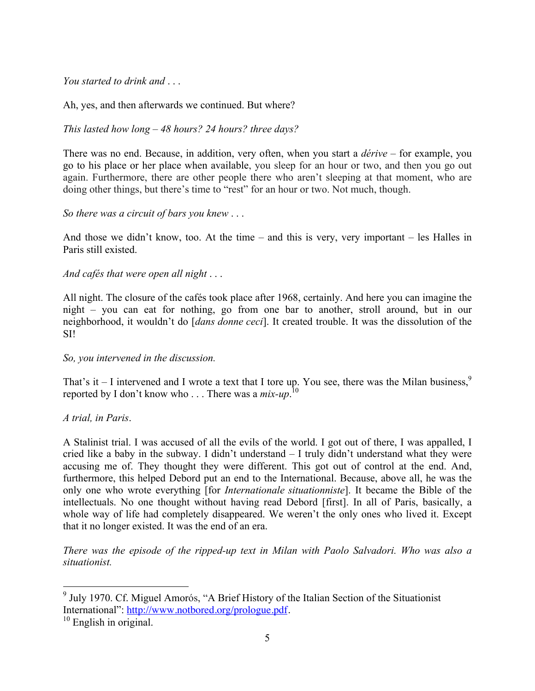*You started to drink and* 

Ah, yes, and then afterwards we continued. But where?

*This lasted how long – 48 hours? 24 hours? three days?*

There was no end. Because, in addition, very often, when you start a *dérive* – for example, you go to his place or her place when available, you sleep for an hour or two, and then you go out again. Furthermore, there are other people there who aren't sleeping at that moment, who are doing other things, but there's time to "rest" for an hour or two. Not much, though.

*So there was a circuit of bars you knew* . . .

And those we didn't know, too. At the time – and this is very, very important – les Halles in Paris still existed.

*And cafés that were open all night* . . .

All night. The closure of the cafés took place after 1968, certainly. And here you can imagine the night – you can eat for nothing, go from one bar to another, stroll around, but in our neighborhood, it wouldn't do [*dans donne ceci*]. It created trouble. It was the dissolution of the SI!

#### *So, you intervened in the discussion.*

That's it  $-$  I intervened and I wrote a text that I tore up. You see, there was the Milan business,  $\frac{9}{2}$ reported by I don't know who . . . There was a *mix-up*. 10

*A trial, in Paris*.

A Stalinist trial. I was accused of all the evils of the world. I got out of there, I was appalled, I cried like a baby in the subway. I didn't understand – I truly didn't understand what they were accusing me of. They thought they were different. This got out of control at the end. And, furthermore, this helped Debord put an end to the International. Because, above all, he was the only one who wrote everything [for *Internationale situationniste*]. It became the Bible of the intellectuals. No one thought without having read Debord [first]. In all of Paris, basically, a whole way of life had completely disappeared. We weren't the only ones who lived it. Except that it no longer existed. It was the end of an era.

*There was the episode of the ripped-up text in Milan with Paolo Salvadori. Who was also a situationist.*

<sup>&</sup>lt;sup>9</sup> July 1970. Cf. Miguel Amorós, "A Brief History of the Italian Section of the Situationist International": http://www.notbored.org/prologue.pdf.<br><sup>10</sup> English in original.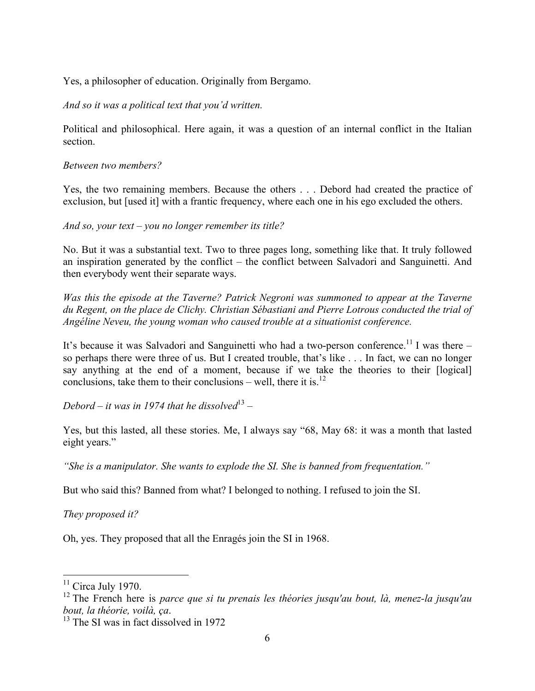Yes, a philosopher of education. Originally from Bergamo.

*And so it was a political text that you'd written.*

Political and philosophical. Here again, it was a question of an internal conflict in the Italian section.

*Between two members?*

Yes, the two remaining members. Because the others . . . Debord had created the practice of exclusion, but [used it] with a frantic frequency, where each one in his ego excluded the others.

*And so, your text – you no longer remember its title?*

No. But it was a substantial text. Two to three pages long, something like that. It truly followed an inspiration generated by the conflict – the conflict between Salvadori and Sanguinetti. And then everybody went their separate ways.

*Was this the episode at the Taverne? Patrick Negroni was summoned to appear at the Taverne du Regent, on the place de Clichy. Christian Sébastiani and Pierre Lotrous conducted the trial of Angéline Neveu, the young woman who caused trouble at a situationist conference.*

It's because it was Salvadori and Sanguinetti who had a two-person conference.<sup>11</sup> I was there so perhaps there were three of us. But I created trouble, that's like . . . In fact, we can no longer say anything at the end of a moment, because if we take the theories to their [logical] conclusions, take them to their conclusions – well, there it is.<sup>12</sup>

*Debord – it was in 1974 that he dissolved*<sup>13</sup> –

Yes, but this lasted, all these stories. Me, I always say "68, May 68: it was a month that lasted eight years."

*"She is a manipulator. She wants to explode the SI. She is banned from frequentation."*

But who said this? Banned from what? I belonged to nothing. I refused to join the SI.

*They proposed it?*

Oh, yes. They proposed that all the Enragés join the SI in 1968.

 $11$  Circa July 1970.

<sup>12</sup> The French here is *parce que si tu prenais les théories jusqu'au bout, là, menez-la jusqu'au bout, la théorie, voilà, ça.* <sup>13</sup> The SI was in fact dissolved in 1972